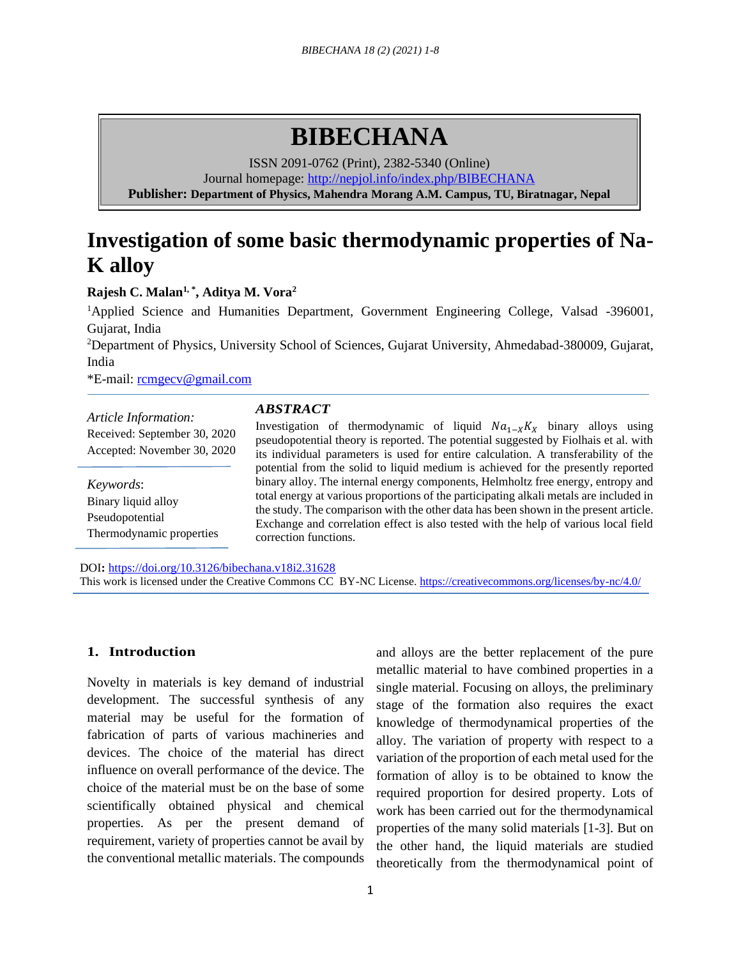# **BIBECHANA**

ISSN 2091-0762 (Print), 2382-5340 (Online)

Journal homepage:<http://nepjol.info/index.php/BIBECHANA>

**Publisher: Department of Physics, Mahendra Morang A.M. Campus, TU, Biratnagar, Nepal**

# **Investigation of some basic thermodynamic properties of Na-K alloy**

### **Rajesh C. Malan1, \* , Aditya M. Vora<sup>2</sup>**

<sup>1</sup>Applied Science and Humanities Department, Government Engineering College, Valsad -396001, Gujarat, India

<sup>2</sup>Department of Physics, University School of Sciences, Gujarat University, Ahmedabad-380009, Gujarat, India

\*E-mail: [rcmgecv@gmail.com](mailto:rcmgecv@gmail.com)

# *Article Information:* Received: September 30, 2020

Accepted: November 30, 2020

*Keywords*: Binary liquid alloy Pseudopotential Thermodynamic properties

### *ABSTRACT*

Investigation of thermodynamic of liquid  $Na_{1-x}K_x$  binary alloys using pseudopotential theory is reported. The potential suggested by Fiolhais et al. with its individual parameters is used for entire calculation. A transferability of the potential from the solid to liquid medium is achieved for the presently reported binary alloy. The internal energy components, Helmholtz free energy, entropy and total energy at various proportions of the participating alkali metals are included in the study. The comparison with the other data has been shown in the present article. Exchange and correlation effect is also tested with the help of various local field correction functions.

DOI**:** <https://doi.org/10.3126/bibechana.v18i2.31628> This work is licensed under the Creative Commons CC BY-NC License.<https://creativecommons.org/licenses/by-nc/4.0/>

## **1. Introduction**

Novelty in materials is key demand of industrial development. The successful synthesis of any material may be useful for the formation of fabrication of parts of various machineries and devices. The choice of the material has direct influence on overall performance of the device. The choice of the material must be on the base of some scientifically obtained physical and chemical properties. As per the present demand of requirement, variety of properties cannot be avail by the conventional metallic materials. The compounds and alloys are the better replacement of the pure metallic material to have combined properties in a single material. Focusing on alloys, the preliminary stage of the formation also requires the exact knowledge of thermodynamical properties of the alloy. The variation of property with respect to a variation of the proportion of each metal used for the formation of alloy is to be obtained to know the required proportion for desired property. Lots of work has been carried out for the thermodynamical properties of the many solid materials [1-3]. But on the other hand, the liquid materials are studied theoretically from the thermodynamical point of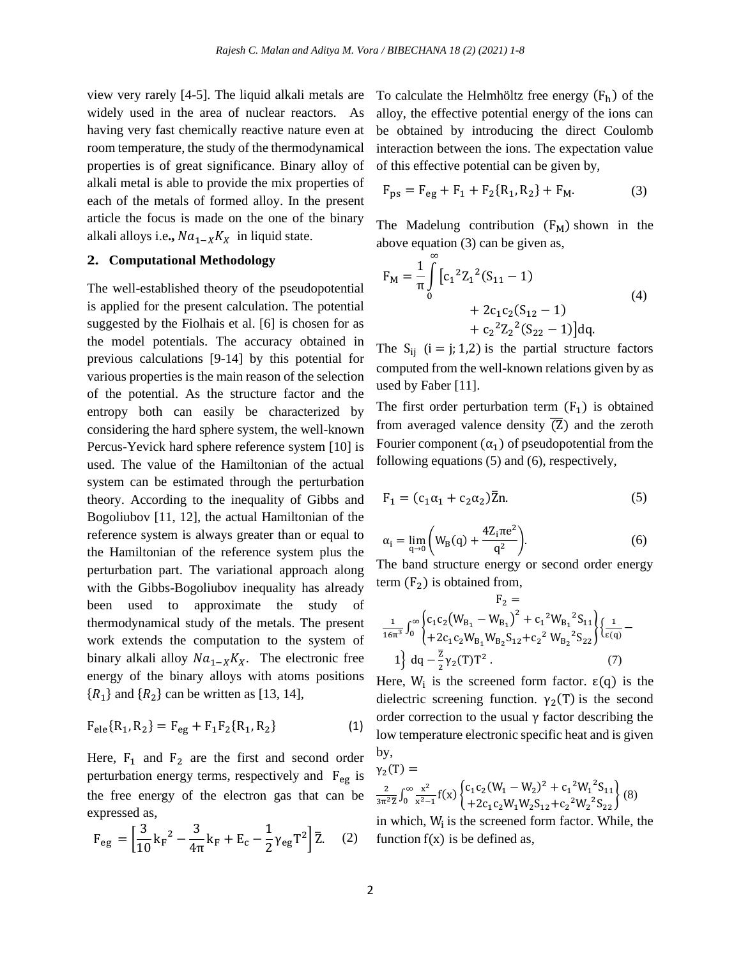view very rarely [4-5]. The liquid alkali metals are widely used in the area of nuclear reactors. As having very fast chemically reactive nature even at room temperature, the study of the thermodynamical properties is of great significance. Binary alloy of alkali metal is able to provide the mix properties of each of the metals of formed alloy. In the present article the focus is made on the one of the binary alkali alloys i.e.,  $Na_{1-x}K_X$  in liquid state.

#### **2. Computational Methodology**

The well-established theory of the pseudopotential is applied for the present calculation. The potential suggested by the Fiolhais et al. [6] is chosen for as the model potentials. The accuracy obtained in previous calculations [9-14] by this potential for various properties is the main reason of the selection of the potential. As the structure factor and the entropy both can easily be characterized by considering the hard sphere system, the well-known Percus-Yevick hard sphere reference system [10] is used. The value of the Hamiltonian of the actual system can be estimated through the perturbation theory. According to the inequality of Gibbs and Bogoliubov [11, 12], the actual Hamiltonian of the reference system is always greater than or equal to the Hamiltonian of the reference system plus the perturbation part. The variational approach along with the Gibbs-Bogoliubov inequality has already been used to approximate the study of thermodynamical study of the metals. The present work extends the computation to the system of binary alkali alloy  $Na_{1-x}K_X$ . The electronic free energy of the binary alloys with atoms positions  $\{R_1\}$  and  $\{R_2\}$  can be written as [13, 14],

$$
F_{ele} \{R_1, R_2\} = F_{eg} + F_1 F_2 \{R_1, R_2\}
$$
 (1)

Here,  $F_1$  and  $F_2$  are the first and second order perturbation energy terms, respectively and  $F_{eg}$  is the free energy of the electron gas that can be expressed as,

$$
F_{eg} = \left[\frac{3}{10}k_F^2 - \frac{3}{4\pi}k_F + E_c - \frac{1}{2}\gamma_{eg}T^2\right]\overline{Z}.
$$
 (2)

To calculate the Helmhöltz free energy  $(F_h)$  of the alloy, the effective potential energy of the ions can be obtained by introducing the direct Coulomb interaction between the ions. The expectation value of this effective potential can be given by,

$$
F_{ps} = F_{eg} + F_1 + F_2\{R_1, R_2\} + F_M.
$$
 (3)

The Madelung contribution  $(F_M)$  shown in the above equation (3) can be given as,

$$
F_M = \frac{1}{\pi} \int_{0}^{\infty} \left[ c_1^2 Z_1^2 (S_{11} - 1) + 2c_1 c_2 (S_{12} - 1) + c_2^2 Z_2^2 (S_{22} - 1) \right] dq.
$$
\n(4)

The  $S_{ij}$  (i = j; 1,2) is the partial structure factors computed from the well-known relations given by as used by Faber [11].

The first order perturbation term  $(F_1)$  is obtained from averaged valence density  $\overline{Z}$ ) and the zeroth Fourier component  $(\alpha_1)$  of pseudopotential from the following equations (5) and (6), respectively,

$$
\mathbf{F}_1 = (c_1 \alpha_1 + c_2 \alpha_2) \bar{\mathbf{Z}} \mathbf{n}.\tag{5}
$$

$$
\alpha_{i} = \lim_{q \to 0} \left( W_{B}(q) + \frac{4Z_{i}\pi e^{2}}{q^{2}} \right).
$$
 (6)

The band structure energy or second order energy term  $(F_2)$  is obtained from,

$$
F_2 = \frac{1}{16\pi^3} \int_0^\infty \begin{cases} c_1 c_2 (W_{B_1} - W_{B_1})^2 + c_1^2 W_{B_1}^2 S_{11} \\ + 2c_1 c_2 W_{B_1} W_{B_2} S_{12} + c_2^2 W_{B_2}^2 S_{22} \end{cases} \begin{cases} \frac{1}{\{\epsilon(q)} - \epsilon\} \\ \epsilon(q) \end{cases}
$$
  
1
$$
\left\{ dq - \frac{\overline{z}}{2} \gamma_2(T) T^2 . \right.
$$
 (7)

Here,  $W_i$  is the screened form factor.  $\varepsilon(q)$  is the dielectric screening function.  $\gamma_2(T)$  is the second order correction to the usual  $\gamma$  factor describing the low temperature electronic specific heat and is given by,

$$
\gamma_2(T) =
$$
  
\n
$$
\frac{2}{3\pi^2 Z} \int_0^\infty \frac{x^2}{x^2 - 1} f(x) \begin{cases} c_1 c_2 (W_1 - W_2)^2 + c_1^2 W_1^2 S_{11} \\ + 2c_1 c_2 W_1 W_2 S_{12} + c_2^2 W_2^2 S_{22} \end{cases}
$$
\nin which M is the second form factor.

in which,  $W_i$  is the screened form factor. While, the function  $f(x)$  is be defined as,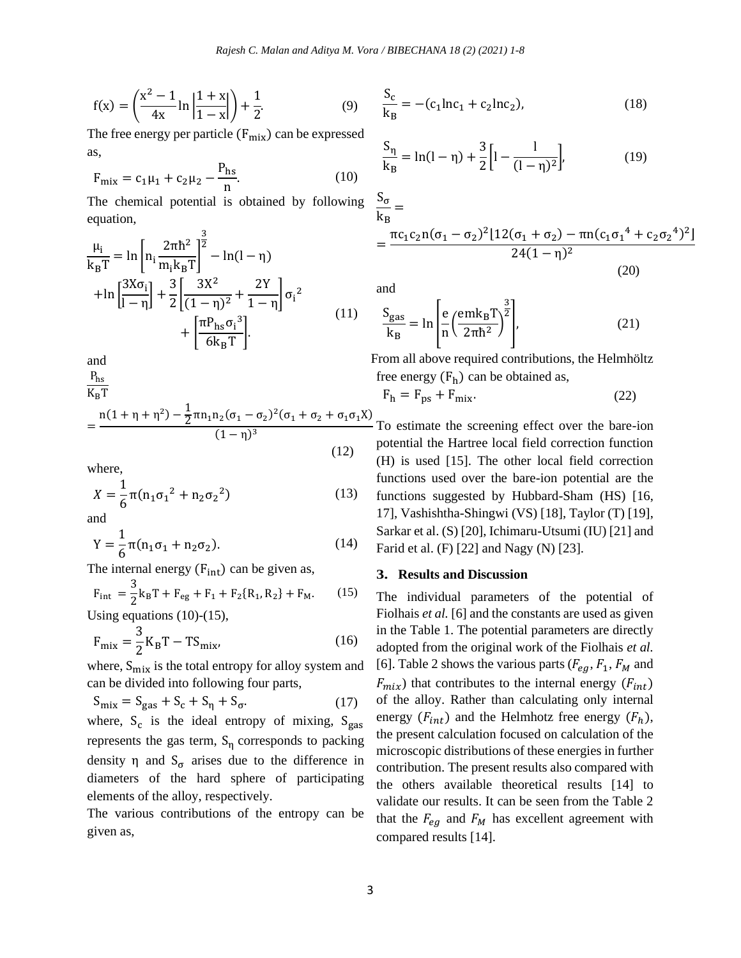$$
f(x) = \left(\frac{x^2 - 1}{4x} \ln \left| \frac{1 + x}{1 - x} \right| \right) + \frac{1}{2}.
$$
 (9)

The free energy per particle  $(F_{mix})$  can be expressed as,

$$
F_{\text{mix}} = c_1 \mu_1 + c_2 \mu_2 - \frac{P_{\text{hs}}}{n}.
$$
 (10)

The chemical potential is obtained by following equation,  $\overline{2}$ 

$$
\frac{\mu_{i}}{k_{B}T} = \ln \left[ n_{i} \frac{2\pi\hbar^{2}}{m_{i}k_{B}T} \right]^{\frac{3}{2}} - \ln(1-\eta)
$$
  
+
$$
\ln \left[ \frac{3X\sigma_{i}}{1-\eta} \right] + \frac{3}{2} \left[ \frac{3X^{2}}{(1-\eta)^{2}} + \frac{2Y}{1-\eta} \right] \sigma_{i}^{2}
$$
  
+
$$
\left[ \frac{\pi P_{hs}\sigma_{i}^{3}}{6k_{B}T} \right].
$$
 (11)

and

$$
\frac{P_{hs}}{V_{T}}
$$

$$
= \frac{n(1 + \eta + \eta^2) - \frac{1}{2}\pi n_1 n_2 (\sigma_1 - \sigma_2)^2 (\sigma_1 + \sigma_2 + \sigma_1 \sigma_1 X)}{(1 - \eta)^3}
$$
(12)

where,

$$
X = \frac{1}{6}\pi(n_1\sigma_1^2 + n_2\sigma_2^2)
$$
 (13)

and

$$
Y = \frac{1}{6}\pi(n_1\sigma_1 + n_2\sigma_2).
$$
 (14)

The internal energy  $(F_{int})$  can be given as,

$$
F_{int} = \frac{3}{2}k_{B}T + F_{eg} + F_{1} + F_{2}{R_{1}, R_{2}} + F_{M}. \qquad (15)
$$
  
Using equations (10)-(15),

$$
F_{\text{mix}} = \frac{3}{2}K_{\text{B}}T - TS_{\text{mix}}\tag{16}
$$

where,  $S_{mix}$  is the total entropy for alloy system and can be divided into following four parts,

$$
S_{\text{mix}} = S_{\text{gas}} + S_{\text{c}} + S_{\eta} + S_{\sigma}.
$$
 (17)

where,  $S_c$  is the ideal entropy of mixing,  $S_{gas}$ represents the gas term,  $S_n$  corresponds to packing density  $\eta$  and  $S_{\sigma}$  arises due to the difference in diameters of the hard sphere of participating elements of the alloy, respectively.

The various contributions of the entropy can be given as,

$$
\frac{S_c}{k_B} = -(c_1 \ln c_1 + c_2 \ln c_2),
$$
\n(18)

$$
\frac{S_{\eta}}{k_{B}} = \ln(1 - \eta) + \frac{3}{2} \left[ 1 - \frac{1}{(1 - \eta)^{2}} \right],
$$
\n(19)

 $S_{\sigma}$  $\frac{16}{k_B} =$ 

$$
= \frac{\pi c_1 c_2 n (\sigma_1 - \sigma_2)^2 [12(\sigma_1 + \sigma_2) - \pi n (c_1 \sigma_1^4 + c_2 \sigma_2^4)^2]}{24(1 - \eta)^2}
$$
\n(20)

and

$$
\frac{S_{\text{gas}}}{k_{\text{B}}} = \ln \left[ \frac{e}{n} \left( \frac{em k_{\text{B}} T}{2 \pi \hbar^2} \right)^{\frac{3}{2}} \right],\tag{21}
$$

From all above required contributions, the Helmhöltz free energy  $(F_h)$  can be obtained as,

$$
F_h = F_{ps} + F_{mix}.
$$
 (22)

To estimate the screening effect over the bare-ion potential the Hartree local field correction function (H) is used [15]. The other local field correction functions used over the bare-ion potential are the functions suggested by Hubbard-Sham (HS) [16, 17], Vashishtha-Shingwi (VS) [18], Taylor (T) [19], Sarkar et al. (S) [20], Ichimaru-Utsumi (IU) [21] and Farid et al. (F) [22] and Nagy (N) [23].

#### **3. Results and Discussion**

The individual parameters of the potential of Fiolhais *et al.* [6] and the constants are used as given in the Table 1. The potential parameters are directly adopted from the original work of the Fiolhais *et al.*  [6]. Table 2 shows the various parts  $(F_{ea}, F_1, F_M$  and  $F_{mix}$ ) that contributes to the internal energy ( $F_{int}$ ) of the alloy. Rather than calculating only internal energy  $(F_{int})$  and the Helmhotz free energy  $(F_h)$ , the present calculation focused on calculation of the microscopic distributions of these energies in further contribution. The present results also compared with the others available theoretical results [14] to validate our results. It can be seen from the Table 2 that the  $F_{eg}$  and  $F_M$  has excellent agreement with compared results [14].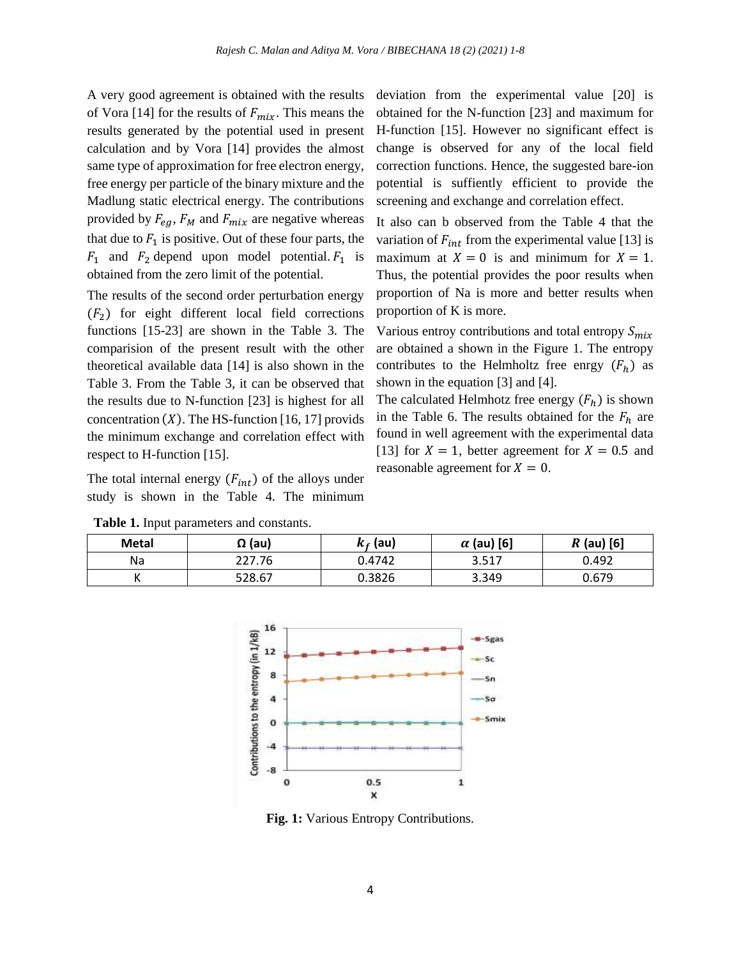A very good agreement is obtained with the results of Vora [14] for the results of  $F_{mix}$ . This means the results generated by the potential used in present calculation and by Vora [14] provides the almost same type of approximation for free electron energy, free energy per particle of the binary mixture and the Madlung static electrical energy. The contributions provided by  $F_{eg}$ ,  $F_M$  and  $F_{mix}$  are negative whereas that due to  $F_1$  is positive. Out of these four parts, the  $F_1$  and  $F_2$  depend upon model potential.  $F_1$  is obtained from the zero limit of the potential.

The results of the second order perturbation energy  $(F<sub>2</sub>)$  for eight different local field corrections functions [15-23] are shown in the Table 3. The comparision of the present result with the other theoretical available data [14] is also shown in the Table 3. From the Table 3, it can be observed that the results due to N-function [23] is highest for all concentration  $(X)$ . The HS-function [16, 17] provids the minimum exchange and correlation effect with respect to H-function [15].

The total internal energy  $(F_{int})$  of the alloys under study is shown in the Table 4. The minimum

**Table 1.** Input parameters and constants.

deviation from the experimental value [20] is obtained for the N-function [23] and maximum for H-function [15]. However no significant effect is change is observed for any of the local field correction functions. Hence, the suggested bare-ion potential is suffiently efficient to provide the screening and exchange and correlation effect.

It also can b observed from the Table 4 that the variation of  $F_{int}$  from the experimental value [13] is maximum at  $X = 0$  is and minimum for  $X = 1$ . Thus, the potential provides the poor results when proportion of Na is more and better results when proportion of K is more.

Various entroy contributions and total entropy  $S_{mix}$ are obtained a shown in the Figure 1. The entropy contributes to the Helmholtz free enrgy  $(F_h)$  as shown in the equation [3] and [4].

The calculated Helmhotz free energy  $(F_h)$  is shown in the Table 6. The results obtained for the  $F_h$  are found in well agreement with the experimental data [13] for  $X = 1$ , better agreement for  $X = 0.5$  and reasonable agreement for  $X = 0$ .

| <b>Metal</b> | $\Omega$ (au) | $k_f$ (au) | $\alpha$ (au) [6] | $R$ (au) [6] |  |
|--------------|---------------|------------|-------------------|--------------|--|
| Na           | 227.76        | 0.4742     | 3.517             | 0.492        |  |
|              | 528.67        | 0.3826     | 3.349             | 0.679        |  |



**Fig. 1:** Various Entropy Contributions.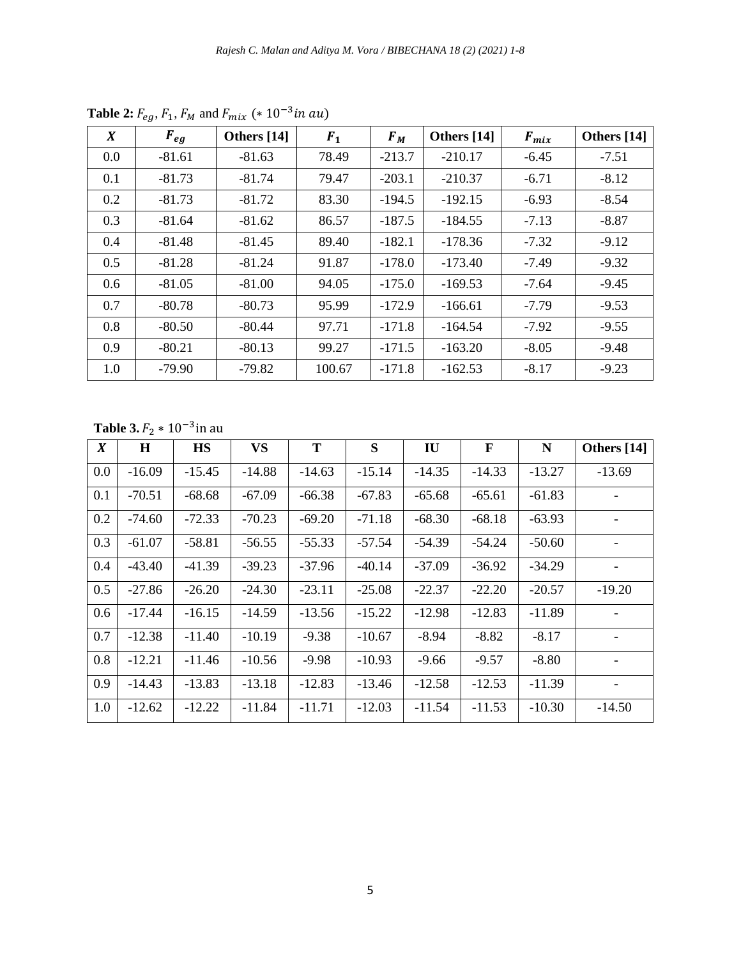| $\boldsymbol{X}$ | $F_{eg}$ | Others [14] | F <sub>1</sub> | $F_M$    | Others [14] | $F_{mix}$ | Others [14] |
|------------------|----------|-------------|----------------|----------|-------------|-----------|-------------|
| 0.0              | $-81.61$ | $-81.63$    | 78.49          | $-213.7$ | $-210.17$   | $-6.45$   | $-7.51$     |
| 0.1              | $-81.73$ | $-81.74$    | 79.47          | $-203.1$ | $-210.37$   | $-6.71$   | $-8.12$     |
| 0.2              | $-81.73$ | $-81.72$    | 83.30          | $-194.5$ | $-192.15$   | $-6.93$   | $-8.54$     |
| 0.3              | $-81.64$ | $-81.62$    | 86.57          | $-187.5$ | $-184.55$   | $-7.13$   | $-8.87$     |
| 0.4              | $-81.48$ | $-81.45$    | 89.40          | $-182.1$ | $-178.36$   | $-7.32$   | $-9.12$     |
| 0.5              | $-81.28$ | $-81.24$    | 91.87          | $-178.0$ | $-173.40$   | $-7.49$   | $-9.32$     |
| 0.6              | $-81.05$ | $-81.00$    | 94.05          | $-175.0$ | $-169.53$   | $-7.64$   | $-9.45$     |
| 0.7              | $-80.78$ | $-80.73$    | 95.99          | $-172.9$ | $-166.61$   | $-7.79$   | $-9.53$     |
| 0.8              | $-80.50$ | $-80.44$    | 97.71          | $-171.8$ | $-164.54$   | $-7.92$   | $-9.55$     |
| 0.9              | $-80.21$ | $-80.13$    | 99.27          | $-171.5$ | $-163.20$   | $-8.05$   | $-9.48$     |
| 1.0              | $-79.90$ | $-79.82$    | 100.67         | $-171.8$ | $-162.53$   | $-8.17$   | $-9.23$     |

**Table 2:**  $F_{eg}$ ,  $F_1$ ,  $F_M$  and  $F_{mix}$  (\*  $10^{-3}$ *in au*)

**Table 3.**  $F_2 * 10^{-3}$  in au

| $\boldsymbol{X}$ | H        | <b>HS</b> | <b>VS</b> | T        | S        | <b>IU</b> | F        | N        | Others [14] |
|------------------|----------|-----------|-----------|----------|----------|-----------|----------|----------|-------------|
| 0.0              | $-16.09$ | $-15.45$  | $-14.88$  | $-14.63$ | $-15.14$ | $-14.35$  | $-14.33$ | $-13.27$ | $-13.69$    |
| 0.1              | $-70.51$ | $-68.68$  | $-67.09$  | $-66.38$ | $-67.83$ | $-65.68$  | $-65.61$ | $-61.83$ |             |
| 0.2              | $-74.60$ | $-72.33$  | $-70.23$  | $-69.20$ | $-71.18$ | $-68.30$  | $-68.18$ | $-63.93$ |             |
| 0.3              | $-61.07$ | $-58.81$  | $-56.55$  | $-55.33$ | $-57.54$ | $-54.39$  | $-54.24$ | $-50.60$ |             |
| 0.4              | $-43.40$ | $-41.39$  | $-39.23$  | $-37.96$ | $-40.14$ | $-37.09$  | $-36.92$ | $-34.29$ |             |
| 0.5              | $-27.86$ | $-26.20$  | $-24.30$  | $-23.11$ | $-25.08$ | $-22.37$  | $-22.20$ | $-20.57$ | $-19.20$    |
| 0.6              | $-17.44$ | $-16.15$  | $-14.59$  | $-13.56$ | $-15.22$ | $-12.98$  | $-12.83$ | $-11.89$ |             |
| 0.7              | $-12.38$ | $-11.40$  | $-10.19$  | $-9.38$  | $-10.67$ | $-8.94$   | $-8.82$  | $-8.17$  |             |
| 0.8              | $-12.21$ | $-11.46$  | $-10.56$  | $-9.98$  | $-10.93$ | $-9.66$   | $-9.57$  | $-8.80$  |             |
| 0.9              | $-14.43$ | $-13.83$  | $-13.18$  | $-12.83$ | $-13.46$ | $-12.58$  | $-12.53$ | $-11.39$ |             |
| 1.0              | $-12.62$ | $-12.22$  | $-11.84$  | $-11.71$ | $-12.03$ | $-11.54$  | $-11.53$ | $-10.30$ | $-14.50$    |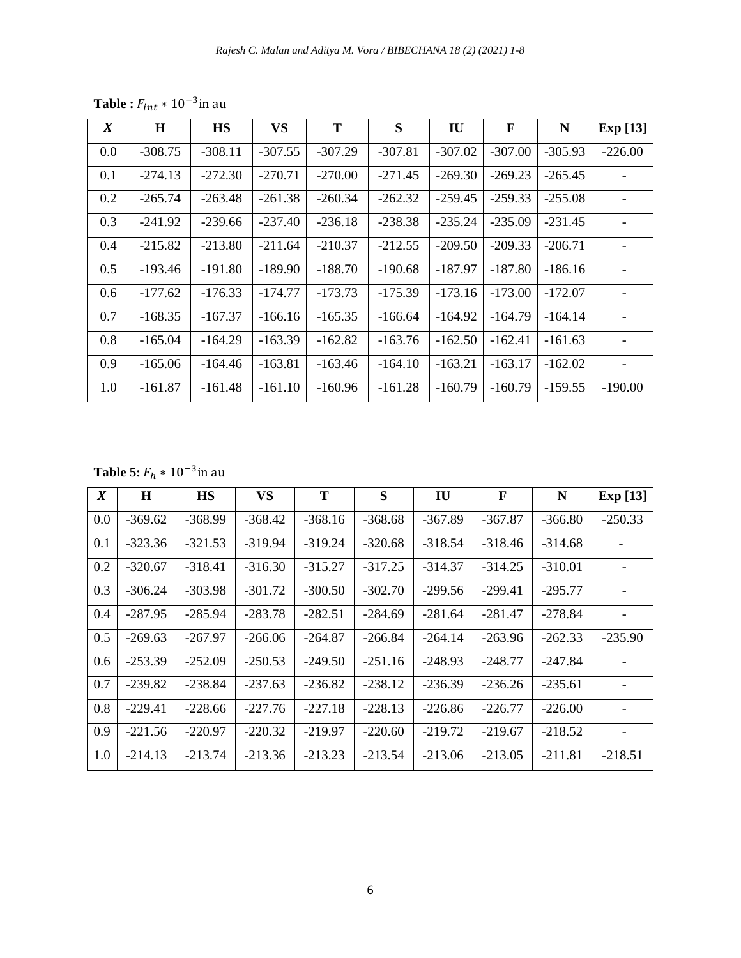| $\boldsymbol{X}$ | H         | <b>HS</b> | <b>VS</b> | T         | S         | IU        | $\mathbf{F}$ | N         | <b>Exp</b> [13] |
|------------------|-----------|-----------|-----------|-----------|-----------|-----------|--------------|-----------|-----------------|
| 0.0              | $-308.75$ | $-308.11$ | $-307.55$ | $-307.29$ | $-307.81$ | $-307.02$ | $-307.00$    | $-305.93$ | $-226.00$       |
| 0.1              | $-274.13$ | $-272.30$ | $-270.71$ | $-270.00$ | $-271.45$ | $-269.30$ | $-269.23$    | $-265.45$ |                 |
| 0.2              | $-265.74$ | $-263.48$ | $-261.38$ | $-260.34$ | $-262.32$ | $-259.45$ | $-259.33$    | $-255.08$ |                 |
| 0.3              | $-241.92$ | $-239.66$ | $-237.40$ | $-236.18$ | $-238.38$ | $-235.24$ | $-235.09$    | $-231.45$ |                 |
| 0.4              | $-215.82$ | $-213.80$ | $-211.64$ | $-210.37$ | $-212.55$ | $-209.50$ | $-209.33$    | $-206.71$ |                 |
| 0.5              | $-193.46$ | $-191.80$ | $-189.90$ | $-188.70$ | $-190.68$ | $-187.97$ | $-187.80$    | $-186.16$ |                 |
| 0.6              | $-177.62$ | $-176.33$ | $-174.77$ | $-173.73$ | $-175.39$ | $-173.16$ | $-173.00$    | $-172.07$ |                 |
| 0.7              | $-168.35$ | $-167.37$ | $-166.16$ | $-165.35$ | $-166.64$ | $-164.92$ | $-164.79$    | $-164.14$ |                 |
| 0.8              | $-165.04$ | $-164.29$ | $-163.39$ | $-162.82$ | $-163.76$ | $-162.50$ | $-162.41$    | $-161.63$ |                 |
| 0.9              | $-165.06$ | -164.46   | $-163.81$ | $-163.46$ | $-164.10$ | $-163.21$ | $-163.17$    | $-162.02$ |                 |
| 1.0              | $-161.87$ | $-161.48$ | $-161.10$ | $-160.96$ | $-161.28$ | $-160.79$ | $-160.79$    | $-159.55$ | $-190.00$       |

**Table :**  $F_{int} * 10^{-3}$ in au

**Table 5:**  $F_h * 10^{-3}$ in au

| $\boldsymbol{X}$ | $\bf H$   | <b>HS</b> | <b>VS</b> | T         | S         | IU        | $\mathbf{F}$ | N         | <b>Exp</b> [13] |
|------------------|-----------|-----------|-----------|-----------|-----------|-----------|--------------|-----------|-----------------|
| 0.0              | $-369.62$ | $-368.99$ | $-368.42$ | $-368.16$ | $-368.68$ | $-367.89$ | $-367.87$    | $-366.80$ | $-250.33$       |
| 0.1              | $-323.36$ | $-321.53$ | $-319.94$ | $-319.24$ | $-320.68$ | $-318.54$ | $-318.46$    | $-314.68$ |                 |
| 0.2              | $-320.67$ | $-318.41$ | $-316.30$ | $-315.27$ | $-317.25$ | $-314.37$ | $-314.25$    | $-310.01$ |                 |
| 0.3              | $-306.24$ | $-303.98$ | $-301.72$ | $-300.50$ | $-302.70$ | $-299.56$ | $-299.41$    | $-295.77$ |                 |
| 0.4              | $-287.95$ | $-285.94$ | $-283.78$ | $-282.51$ | $-284.69$ | $-281.64$ | $-281.47$    | $-278.84$ |                 |
| 0.5              | $-269.63$ | $-267.97$ | $-266.06$ | $-264.87$ | $-266.84$ | $-264.14$ | $-263.96$    | $-262.33$ | $-235.90$       |
| 0.6              | $-253.39$ | $-252.09$ | $-250.53$ | $-249.50$ | $-251.16$ | $-248.93$ | $-248.77$    | $-247.84$ |                 |
| 0.7              | $-239.82$ | $-238.84$ | $-237.63$ | $-236.82$ | $-238.12$ | $-236.39$ | $-236.26$    | $-235.61$ |                 |
| 0.8              | $-229.41$ | $-228.66$ | $-227.76$ | $-227.18$ | $-228.13$ | $-226.86$ | $-226.77$    | $-226.00$ |                 |
| 0.9              | $-221.56$ | $-220.97$ | $-220.32$ | $-219.97$ | $-220.60$ | $-219.72$ | $-219.67$    | $-218.52$ |                 |
| 1.0              | $-214.13$ | $-213.74$ | $-213.36$ | $-213.23$ | $-213.54$ | $-213.06$ | $-213.05$    | $-211.81$ | $-218.51$       |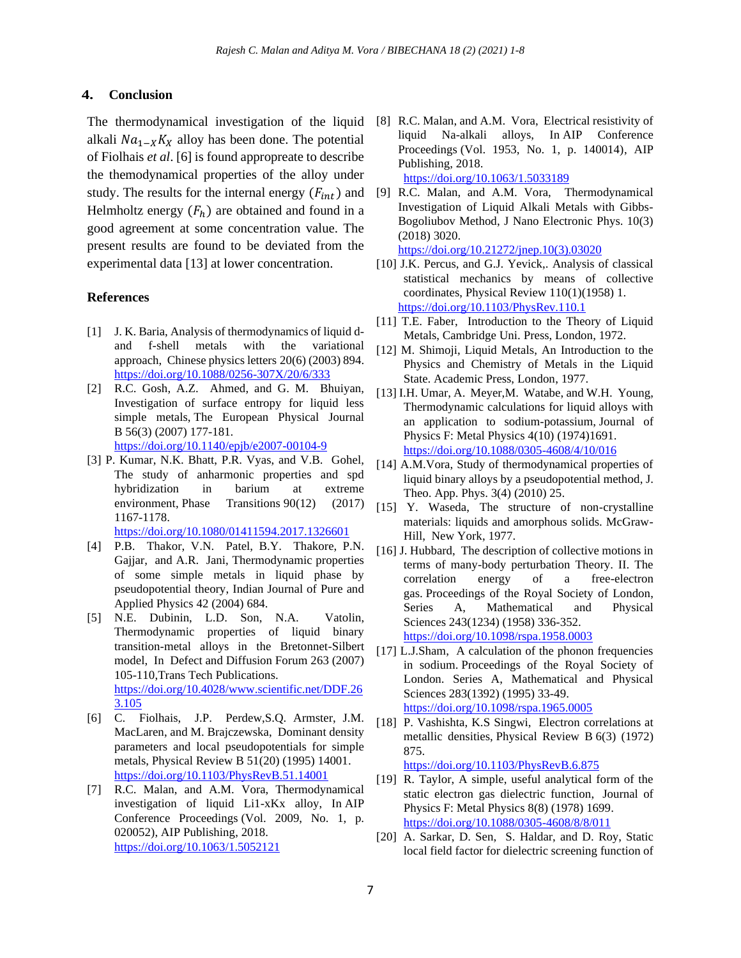#### **4. Conclusion**

The thermodynamical investigation of the liquid alkali  $Na_{1-X}K_X$  alloy has been done. The potential of Fiolhais *et al*. [6] is found appropreate to describe the themodynamical properties of the alloy under study. The results for the internal energy  $(F_{int})$  and Helmholtz energy  $(F_h)$  are obtained and found in a good agreement at some concentration value. The present results are found to be deviated from the experimental data [13] at lower concentration.

#### **References**

- [1] J. K. Baria, Analysis of thermodynamics of liquid dand f-shell metals with the variational approach, Chinese physics letters 20(6) (2003) 894. <https://doi.org/10.1088/0256-307X/20/6/333>
- [2] R.C. Gosh, A.Z. Ahmed, and G. M. Bhuiyan, Investigation of surface entropy for liquid less simple metals, The European Physical Journal B 56(3) (2007) 177-181.

<https://doi.org/10.1140/epjb/e2007-00104-9>

[3] P. Kumar, N.K. Bhatt, P.R. Vyas, and V.B. Gohel, The study of anharmonic properties and spd hybridization in barium at extreme environment, Phase Transitions 90(12) (2017) 1167-1178. <https://doi.org/10.1080/01411594.2017.1326601>

[4] P.B. Thakor, V.N. Patel, B.Y. Thakore, P.N.

- Gajjar, and A.R. Jani, Thermodynamic properties of some simple metals in liquid phase by pseudopotential theory, Indian Journal of Pure and Applied Physics 42 (2004) 684.
- [5] N.E. Dubinin, L.D. Son, N.A. Vatolin, Thermodynamic properties of liquid binary transition-metal alloys in the Bretonnet-Silbert model, In Defect and Diffusion Forum 263 (2007) 105-110,Trans Tech Publications. [https://doi.org/10.4028/www.scientific.net/DDF.26](https://doi.org/10.4028/www.scientific.net/DDF.263.105) [3.105](https://doi.org/10.4028/www.scientific.net/DDF.263.105)
- [6] C. Fiolhais, J.P. Perdew,S.Q. Armster, J.M. MacLaren, and M. Brajczewska, Dominant density parameters and local pseudopotentials for simple metals, Physical Review B 51(20) (1995) 14001. <https://doi.org/10.1103/PhysRevB.51.14001>
- [7] R.C. Malan, and A.M. Vora, Thermodynamical investigation of liquid Li1-xKx alloy, In AIP Conference Proceedings (Vol. 2009, No. 1, p. 020052), AIP Publishing, 2018. <https://doi.org/10.1063/1.5052121>
- [8] R.C. Malan, and A.M. Vora, Electrical resistivity of liquid Na-alkali alloys, In AIP Conference Proceedings (Vol. 1953, No. 1, p. 140014), AIP Publishing, 2018. <https://doi.org/10.1063/1.5033189>
- [9] R.C. Malan, and A.M. Vora, Thermodynamical Investigation of Liquid Alkali Metals with Gibbs-Bogoliubov Method, J Nano Electronic Phys. 10(3) (2018) 3020.

[https://doi.org/10.21272/jnep.10\(3\).03020](https://doi.org/10.21272/jnep.10(3).03020)

- [10] J.K. Percus, and G.J. Yevick,. Analysis of classical statistical mechanics by means of collective coordinates, Physical Review 110(1)(1958) 1. <https://doi.org/10.1103/PhysRev.110.1>
- [11] T.E. Faber, Introduction to the Theory of Liquid Metals, Cambridge Uni. Press, London, 1972.
- [12] M. Shimoji, Liquid Metals, An Introduction to the Physics and Chemistry of Metals in the Liquid State. Academic Press, London, 1977.
- [13] I.H. Umar, A. Meyer,M. Watabe, and W.H. Young, Thermodynamic calculations for liquid alloys with an application to sodium-potassium, Journal of Physics F: Metal Physics 4(10) (1974)1691. <https://doi.org/10.1088/0305-4608/4/10/016>
- [14] A.M.Vora, Study of thermodynamical properties of liquid binary alloys by a pseudopotential method, J. Theo. App. Phys. 3(4) (2010) 25.
- [15] Y. Waseda, The structure of non-crystalline materials: liquids and amorphous solids. McGraw-Hill, New York, 1977.
- [16] J. Hubbard, The description of collective motions in terms of many-body perturbation Theory. II. The correlation energy of a free-electron gas. Proceedings of the Royal Society of London, Series A, Mathematical and Physical Sciences 243(1234) (1958) 336-352. <https://doi.org/10.1098/rspa.1958.0003>
- [17] L.J.Sham, A calculation of the phonon frequencies in sodium. Proceedings of the Royal Society of London. Series A, Mathematical and Physical Sciences 283(1392) (1995) 33-49. <https://doi.org/10.1098/rspa.1965.0005>
- [18] P. Vashishta, K.S Singwi, Electron correlations at metallic densities, Physical Review B 6(3) (1972) 875.

<https://doi.org/10.1103/PhysRevB.6.875>

- [19] R. Taylor, A simple, useful analytical form of the static electron gas dielectric function, Journal of Physics F: Metal Physics 8(8) (1978) 1699. <https://doi.org/10.1088/0305-4608/8/8/011>
- [20] A. Sarkar, D. Sen, S. Haldar, and D. Roy, Static local field factor for dielectric screening function of